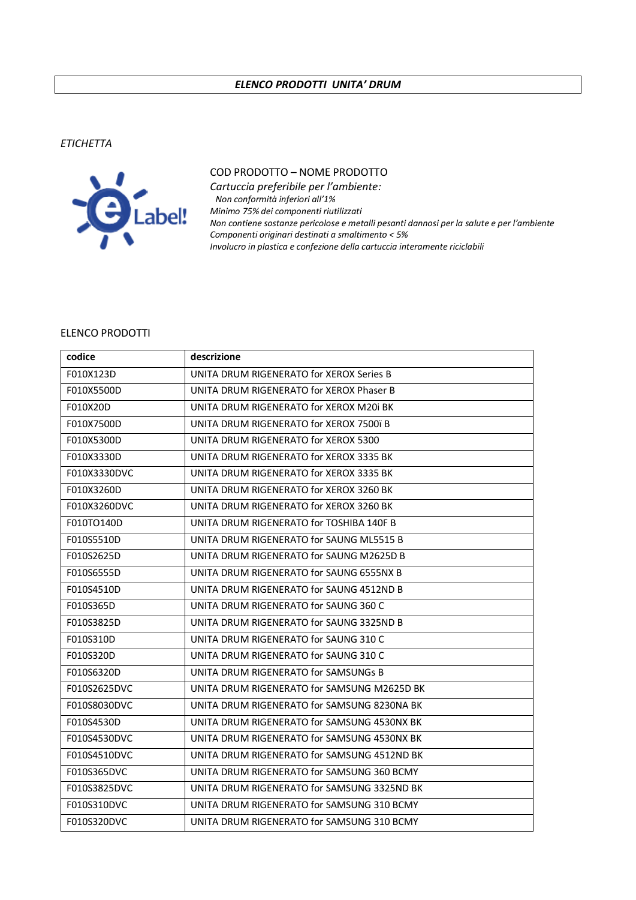## *ELENCO PRODOTTI UNITA' DRUM*

*ETICHETTA*



## COD PRODOTTO – NOME PRODOTTO

*Cartuccia preferibile per l'ambiente: Non conformità inferiori all'1% Minimo 75% dei componenti riutilizzati Non contiene sostanze pericolose e metalli pesanti dannosi per la salute e per l'ambiente Componenti originari destinati a smaltimento < 5% Involucro in plastica e confezione della cartuccia interamente riciclabili*

## ELENCO PRODOTTI

| codice       | descrizione                                 |
|--------------|---------------------------------------------|
| F010X123D    | UNITA DRUM RIGENERATO for XEROX Series B    |
| F010X5500D   | UNITA DRUM RIGENERATO for XEROX Phaser B    |
| F010X20D     | UNITA DRUM RIGENERATO for XEROX M20i BK     |
| F010X7500D   | UNITA DRUM RIGENERATO for XEROX 7500ï B     |
| F010X5300D   | UNITA DRUM RIGENERATO for XEROX 5300        |
| F010X3330D   | UNITA DRUM RIGENERATO for XEROX 3335 BK     |
| F010X3330DVC | UNITA DRUM RIGENERATO for XEROX 3335 BK     |
| F010X3260D   | UNITA DRUM RIGENERATO for XEROX 3260 BK     |
| F010X3260DVC | UNITA DRUM RIGENERATO for XEROX 3260 BK     |
| F010TO140D   | UNITA DRUM RIGENERATO for TOSHIBA 140F B    |
| F010S5510D   | UNITA DRUM RIGENERATO for SAUNG ML5515 B    |
| F010S2625D   | UNITA DRUM RIGENERATO for SAUNG M2625D B    |
| F010S6555D   | UNITA DRUM RIGENERATO for SAUNG 6555NX B    |
| F010S4510D   | UNITA DRUM RIGENERATO for SAUNG 4512ND B    |
| F010S365D    | UNITA DRUM RIGENERATO for SAUNG 360 C       |
| F010S3825D   | UNITA DRUM RIGENERATO for SAUNG 3325ND B    |
| F010S310D    | UNITA DRUM RIGENERATO for SAUNG 310 C       |
| F010S320D    | UNITA DRUM RIGENERATO for SAUNG 310 C       |
| F010S6320D   | UNITA DRUM RIGENERATO for SAMSUNGs B        |
| F010S2625DVC | UNITA DRUM RIGENERATO for SAMSUNG M2625D BK |
| F010S8030DVC | UNITA DRUM RIGENERATO for SAMSUNG 8230NA BK |
| F010S4530D   | UNITA DRUM RIGENERATO for SAMSUNG 4530NX BK |
| F010S4530DVC | UNITA DRUM RIGENERATO for SAMSUNG 4530NX BK |
| F010S4510DVC | UNITA DRUM RIGENERATO for SAMSUNG 4512ND BK |
| F010S365DVC  | UNITA DRUM RIGENERATO for SAMSUNG 360 BCMY  |
| F010S3825DVC | UNITA DRUM RIGENERATO for SAMSUNG 3325ND BK |
| F010S310DVC  | UNITA DRUM RIGENERATO for SAMSUNG 310 BCMY  |
| F010S320DVC  | UNITA DRUM RIGENERATO for SAMSUNG 310 BCMY  |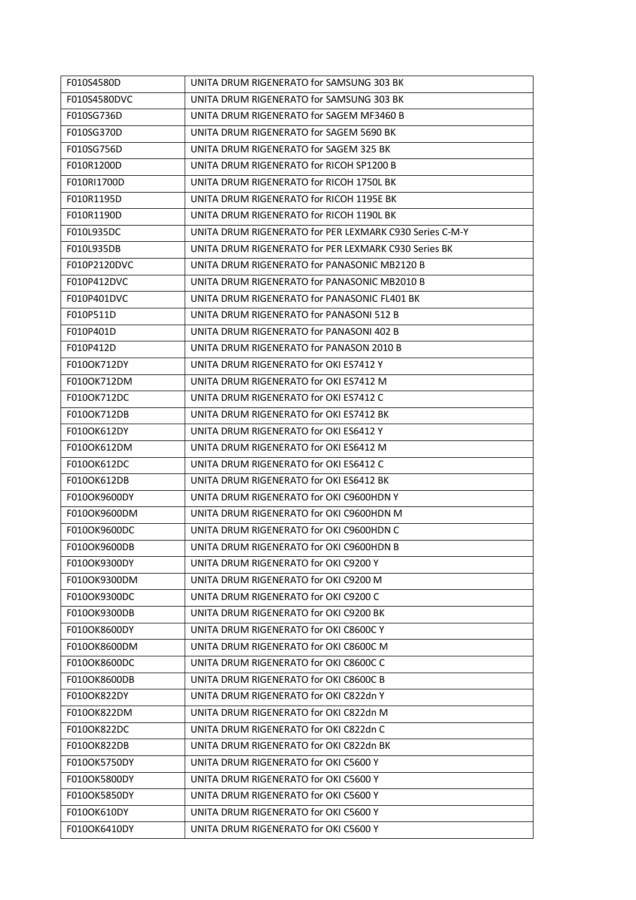| F010S4580D   | UNITA DRUM RIGENERATO for SAMSUNG 303 BK                |
|--------------|---------------------------------------------------------|
| F010S4580DVC | UNITA DRUM RIGENERATO for SAMSUNG 303 BK                |
| F010SG736D   | UNITA DRUM RIGENERATO for SAGEM MF3460 B                |
| F010SG370D   | UNITA DRUM RIGENERATO for SAGEM 5690 BK                 |
| F010SG756D   | UNITA DRUM RIGENERATO for SAGEM 325 BK                  |
| F010R1200D   | UNITA DRUM RIGENERATO for RICOH SP1200 B                |
| F010RI1700D  | UNITA DRUM RIGENERATO for RICOH 1750L BK                |
| F010R1195D   | UNITA DRUM RIGENERATO for RICOH 1195E BK                |
| F010R1190D   | UNITA DRUM RIGENERATO for RICOH 1190L BK                |
| F010L935DC   | UNITA DRUM RIGENERATO for PER LEXMARK C930 Series C-M-Y |
| F010L935DB   | UNITA DRUM RIGENERATO for PER LEXMARK C930 Series BK    |
| F010P2120DVC | UNITA DRUM RIGENERATO for PANASONIC MB2120 B            |
| F010P412DVC  | UNITA DRUM RIGENERATO for PANASONIC MB2010 B            |
| F010P401DVC  | UNITA DRUM RIGENERATO for PANASONIC FL401 BK            |
| F010P511D    | UNITA DRUM RIGENERATO for PANASONI 512 B                |
| F010P401D    | UNITA DRUM RIGENERATO for PANASONI 402 B                |
| F010P412D    | UNITA DRUM RIGENERATO for PANASON 2010 B                |
| F010OK712DY  | UNITA DRUM RIGENERATO for OKI ES7412 Y                  |
| F010OK712DM  | UNITA DRUM RIGENERATO for OKI ES7412 M                  |
| F010OK712DC  | UNITA DRUM RIGENERATO for OKI ES7412 C                  |
| F010OK712DB  | UNITA DRUM RIGENERATO for OKI ES7412 BK                 |
| F010OK612DY  | UNITA DRUM RIGENERATO for OKI ES6412 Y                  |
| F010OK612DM  | UNITA DRUM RIGENERATO for OKI ES6412 M                  |
| F010OK612DC  | UNITA DRUM RIGENERATO for OKI ES6412 C                  |
| F010OK612DB  | UNITA DRUM RIGENERATO for OKI ES6412 BK                 |
| F010OK9600DY | UNITA DRUM RIGENERATO for OKI C9600HDN Y                |
| F010OK9600DM | UNITA DRUM RIGENERATO for OKI C9600HDN M                |
| F010OK9600DC | UNITA DRUM RIGENERATO for OKI C9600HDN C                |
| F010OK9600DB | UNITA DRUM RIGENERATO for OKI C9600HDN B                |
| F010OK9300DY | UNITA DRUM RIGENERATO for OKI C9200 Y                   |
| F010OK9300DM | UNITA DRUM RIGENERATO for OKI C9200 M                   |
| F010OK9300DC | UNITA DRUM RIGENERATO for OKI C9200 C                   |
| F010OK9300DB | UNITA DRUM RIGENERATO for OKI C9200 BK                  |
| F010OK8600DY | UNITA DRUM RIGENERATO for OKI C8600C Y                  |
| F010OK8600DM | UNITA DRUM RIGENERATO for OKI C8600C M                  |
| F010OK8600DC | UNITA DRUM RIGENERATO for OKI C8600C C                  |
| F010OK8600DB | UNITA DRUM RIGENERATO for OKI C8600C B                  |
| F010OK822DY  | UNITA DRUM RIGENERATO for OKI C822dn Y                  |
| F010OK822DM  | UNITA DRUM RIGENERATO for OKI C822dn M                  |
| F010OK822DC  | UNITA DRUM RIGENERATO for OKI C822dn C                  |
| F010OK822DB  | UNITA DRUM RIGENERATO for OKI C822dn BK                 |
| F010OK5750DY | UNITA DRUM RIGENERATO for OKI C5600 Y                   |
| F010OK5800DY | UNITA DRUM RIGENERATO for OKI C5600 Y                   |
| F010OK5850DY | UNITA DRUM RIGENERATO for OKI C5600 Y                   |
| F010OK610DY  | UNITA DRUM RIGENERATO for OKI C5600 Y                   |
| F010OK6410DY | UNITA DRUM RIGENERATO for OKI C5600 Y                   |
|              |                                                         |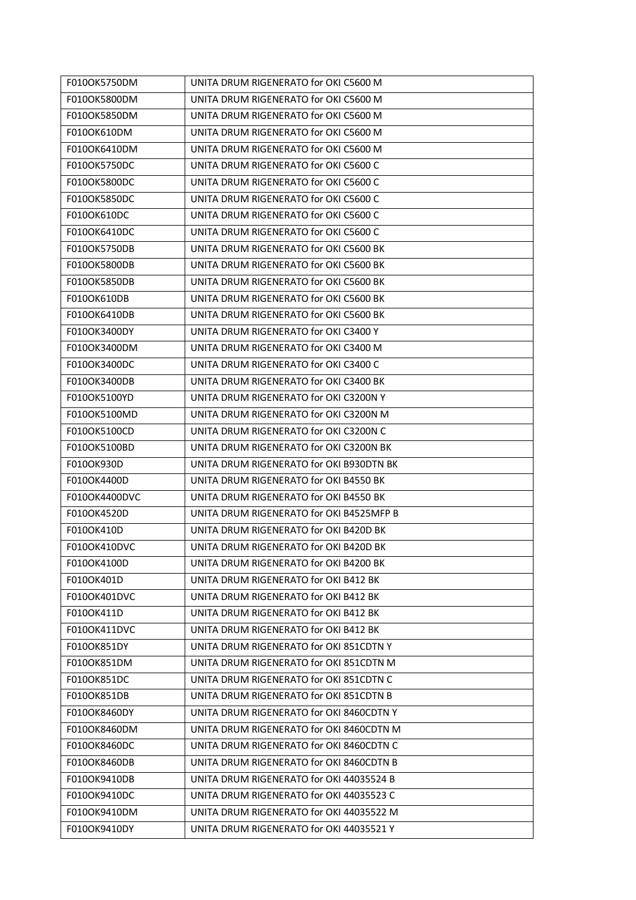| F010OK5750DM  | UNITA DRUM RIGENERATO for OKI C5600 M    |
|---------------|------------------------------------------|
| F010OK5800DM  | UNITA DRUM RIGENERATO for OKI C5600 M    |
| F010OK5850DM  | UNITA DRUM RIGENERATO for OKI C5600 M    |
| F010OK610DM   | UNITA DRUM RIGENERATO for OKI C5600 M    |
| F010OK6410DM  | UNITA DRUM RIGENERATO for OKI C5600 M    |
| F010OK5750DC  | UNITA DRUM RIGENERATO for OKI C5600 C    |
| F010OK5800DC  | UNITA DRUM RIGENERATO for OKI C5600 C    |
| F010OK5850DC  | UNITA DRUM RIGENERATO for OKI C5600 C    |
| F010OK610DC   | UNITA DRUM RIGENERATO for OKI C5600 C    |
| F010OK6410DC  | UNITA DRUM RIGENERATO for OKI C5600 C    |
| F010OK5750DB  | UNITA DRUM RIGENERATO for OKI C5600 BK   |
| F010OK5800DB  | UNITA DRUM RIGENERATO for OKI C5600 BK   |
| F010OK5850DB  | UNITA DRUM RIGENERATO for OKI C5600 BK   |
| F010OK610DB   | UNITA DRUM RIGENERATO for OKI C5600 BK   |
| F010OK6410DB  | UNITA DRUM RIGENERATO for OKI C5600 BK   |
| F010OK3400DY  | UNITA DRUM RIGENERATO for OKI C3400 Y    |
| F010OK3400DM  | UNITA DRUM RIGENERATO for OKI C3400 M    |
| F010OK3400DC  | UNITA DRUM RIGENERATO for OKI C3400 C    |
| F010OK3400DB  | UNITA DRUM RIGENERATO for OKI C3400 BK   |
| F010OK5100YD  | UNITA DRUM RIGENERATO for OKI C3200N Y   |
| F010OK5100MD  | UNITA DRUM RIGENERATO for OKI C3200N M   |
| F010OK5100CD  | UNITA DRUM RIGENERATO for OKI C3200N C   |
| F010OK5100BD  | UNITA DRUM RIGENERATO for OKI C3200N BK  |
| F010OK930D    | UNITA DRUM RIGENERATO for OKI B930DTN BK |
| F010OK4400D   | UNITA DRUM RIGENERATO for OKI B4550 BK   |
| F010OK4400DVC | UNITA DRUM RIGENERATO for OKI B4550 BK   |
| F010OK4520D   | UNITA DRUM RIGENERATO for OKI B4525MFP B |
| F010OK410D    | UNITA DRUM RIGENERATO for OKI B420D BK   |
| F010OK410DVC  | UNITA DRUM RIGENERATO for OKI B420D BK   |
| F010OK4100D   | UNITA DRUM RIGENERATO for OKI B4200 BK   |
| F010OK401D    | UNITA DRUM RIGENERATO for OKI B412 BK    |
| F010OK401DVC  | UNITA DRUM RIGENERATO for OKI B412 BK    |
| F010OK411D    | UNITA DRUM RIGENERATO for OKI B412 BK    |
| F010OK411DVC  | UNITA DRUM RIGENERATO for OKI B412 BK    |
| F010OK851DY   | UNITA DRUM RIGENERATO for OKI 851CDTN Y  |
| F010OK851DM   | UNITA DRUM RIGENERATO for OKI 851CDTN M  |
| F010OK851DC   | UNITA DRUM RIGENERATO for OKI 851CDTN C  |
| F010OK851DB   | UNITA DRUM RIGENERATO for OKI 851CDTN B  |
| F010OK8460DY  | UNITA DRUM RIGENERATO for OKI 8460CDTN Y |
| F010OK8460DM  | UNITA DRUM RIGENERATO for OKI 8460CDTN M |
| F010OK8460DC  | UNITA DRUM RIGENERATO for OKI 8460CDTN C |
| F010OK8460DB  | UNITA DRUM RIGENERATO for OKI 8460CDTN B |
| F010OK9410DB  | UNITA DRUM RIGENERATO for OKI 44035524 B |
| F010OK9410DC  | UNITA DRUM RIGENERATO for OKI 44035523 C |
| F010OK9410DM  | UNITA DRUM RIGENERATO for OKI 44035522 M |
| F010OK9410DY  | UNITA DRUM RIGENERATO for OKI 44035521 Y |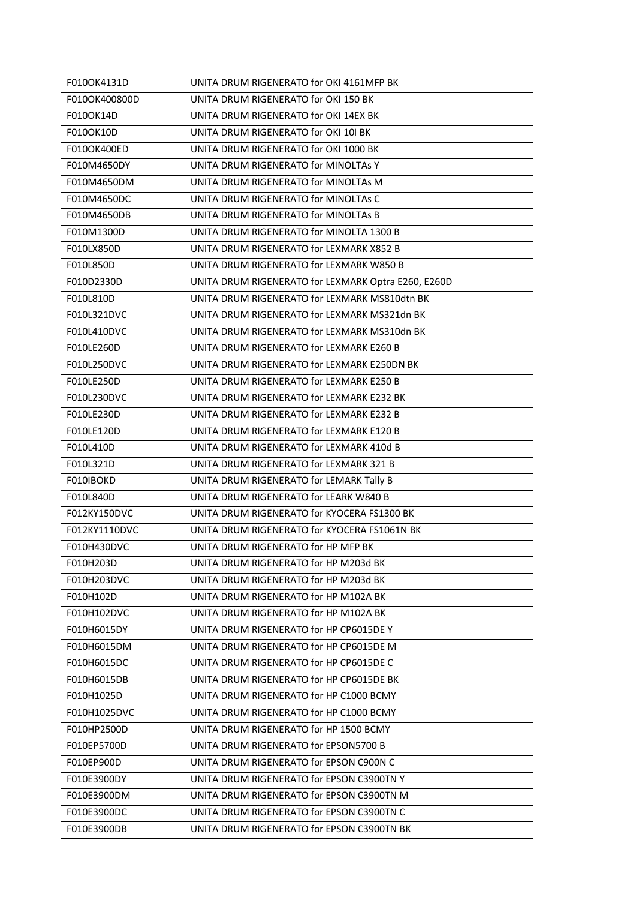| F010OK4131D   | UNITA DRUM RIGENERATO for OKI 4161MFP BK            |
|---------------|-----------------------------------------------------|
| F010OK400800D | UNITA DRUM RIGENERATO for OKI 150 BK                |
| F010OK14D     | UNITA DRUM RIGENERATO for OKI 14EX BK               |
| F010OK10D     | UNITA DRUM RIGENERATO for OKI 10I BK                |
| F010OK400ED   | UNITA DRUM RIGENERATO for OKI 1000 BK               |
| F010M4650DY   | UNITA DRUM RIGENERATO for MINOLTAS Y                |
| F010M4650DM   | UNITA DRUM RIGENERATO for MINOLTAs M                |
| F010M4650DC   | UNITA DRUM RIGENERATO for MINOLTAS C                |
| F010M4650DB   | UNITA DRUM RIGENERATO for MINOLTAs B                |
| F010M1300D    | UNITA DRUM RIGENERATO for MINOLTA 1300 B            |
| F010LX850D    | UNITA DRUM RIGENERATO for LEXMARK X852 B            |
| F010L850D     | UNITA DRUM RIGENERATO for LEXMARK W850 B            |
| F010D2330D    | UNITA DRUM RIGENERATO for LEXMARK Optra E260, E260D |
| F010L810D     | UNITA DRUM RIGENERATO for LEXMARK MS810dtn BK       |
| F010L321DVC   | UNITA DRUM RIGENERATO for LEXMARK MS321dn BK        |
| F010L410DVC   | UNITA DRUM RIGENERATO for LEXMARK MS310dn BK        |
| F010LE260D    | UNITA DRUM RIGENERATO for LEXMARK E260 B            |
| F010L250DVC   | UNITA DRUM RIGENERATO for LEXMARK E250DN BK         |
| F010LE250D    | UNITA DRUM RIGENERATO for LEXMARK E250 B            |
| F010L230DVC   | UNITA DRUM RIGENERATO for LEXMARK E232 BK           |
| F010LE230D    | UNITA DRUM RIGENERATO for LEXMARK E232 B            |
| F010LE120D    | UNITA DRUM RIGENERATO for LEXMARK E120 B            |
| F010L410D     | UNITA DRUM RIGENERATO for LEXMARK 410d B            |
| F010L321D     | UNITA DRUM RIGENERATO for LEXMARK 321 B             |
| F010IBOKD     | UNITA DRUM RIGENERATO for LEMARK Tally B            |
| F010L840D     | UNITA DRUM RIGENERATO for LEARK W840 B              |
| F012KY150DVC  | UNITA DRUM RIGENERATO for KYOCERA FS1300 BK         |
| F012KY1110DVC | UNITA DRUM RIGENERATO for KYOCERA FS1061N BK        |
| F010H430DVC   | UNITA DRUM RIGENERATO for HP MFP BK                 |
| F010H203D     | UNITA DRUM RIGENERATO for HP M203d BK               |
| F010H203DVC   | UNITA DRUM RIGENERATO for HP M203d BK               |
| F010H102D     | UNITA DRUM RIGENERATO for HP M102A BK               |
| F010H102DVC   | UNITA DRUM RIGENERATO for HP M102A BK               |
| F010H6015DY   | UNITA DRUM RIGENERATO for HP CP6015DE Y             |
| F010H6015DM   | UNITA DRUM RIGENERATO for HP CP6015DE M             |
| F010H6015DC   | UNITA DRUM RIGENERATO for HP CP6015DE C             |
| F010H6015DB   | UNITA DRUM RIGENERATO for HP CP6015DE BK            |
| F010H1025D    | UNITA DRUM RIGENERATO for HP C1000 BCMY             |
| F010H1025DVC  | UNITA DRUM RIGENERATO for HP C1000 BCMY             |
| F010HP2500D   | UNITA DRUM RIGENERATO for HP 1500 BCMY              |
| F010EP5700D   | UNITA DRUM RIGENERATO for EPSON5700 B               |
| F010EP900D    | UNITA DRUM RIGENERATO for EPSON C900N C             |
| F010E3900DY   | UNITA DRUM RIGENERATO for EPSON C3900TN Y           |
| F010E3900DM   | UNITA DRUM RIGENERATO for EPSON C3900TN M           |
| F010E3900DC   | UNITA DRUM RIGENERATO for EPSON C3900TN C           |
| F010E3900DB   | UNITA DRUM RIGENERATO for EPSON C3900TN BK          |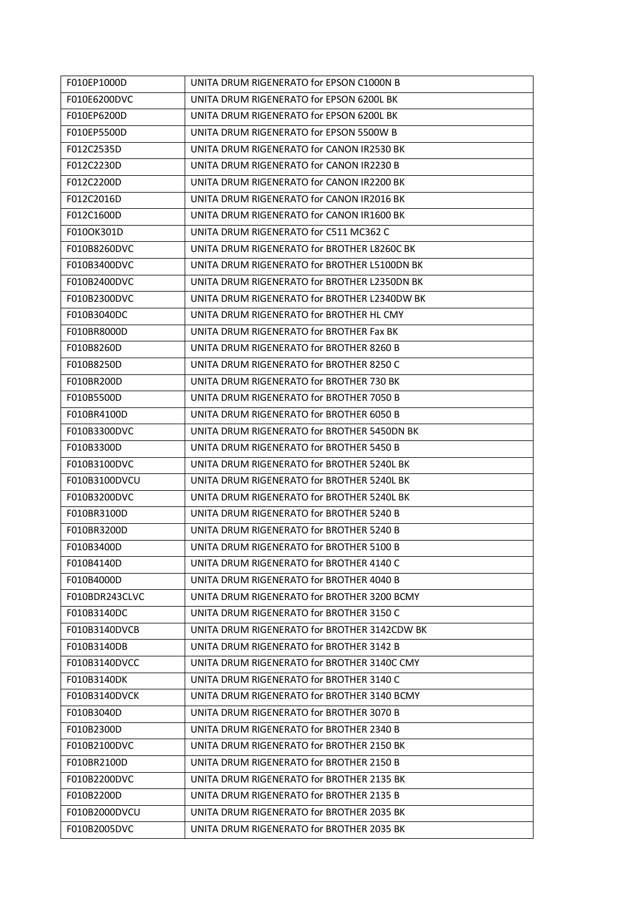| F010EP1000D    | UNITA DRUM RIGENERATO for EPSON C1000N B     |
|----------------|----------------------------------------------|
| F010E6200DVC   | UNITA DRUM RIGENERATO for EPSON 6200L BK     |
| F010EP6200D    | UNITA DRUM RIGENERATO for EPSON 6200L BK     |
| F010EP5500D    | UNITA DRUM RIGENERATO for EPSON 5500W B      |
| F012C2535D     | UNITA DRUM RIGENERATO for CANON IR2530 BK    |
| F012C2230D     | UNITA DRUM RIGENERATO for CANON IR2230 B     |
| F012C2200D     | UNITA DRUM RIGENERATO for CANON IR2200 BK    |
| F012C2016D     | UNITA DRUM RIGENERATO for CANON IR2016 BK    |
| F012C1600D     | UNITA DRUM RIGENERATO for CANON IR1600 BK    |
| F010OK301D     | UNITA DRUM RIGENERATO for C511 MC362 C       |
| F010B8260DVC   | UNITA DRUM RIGENERATO for BROTHER L8260C BK  |
| F010B3400DVC   | UNITA DRUM RIGENERATO for BROTHER L5100DN BK |
| F010B2400DVC   | UNITA DRUM RIGENERATO for BROTHER L2350DN BK |
| F010B2300DVC   | UNITA DRUM RIGENERATO for BROTHER L2340DW BK |
| F010B3040DC    | UNITA DRUM RIGENERATO for BROTHER HL CMY     |
| F010BR8000D    | UNITA DRUM RIGENERATO for BROTHER Fax BK     |
| F010B8260D     | UNITA DRUM RIGENERATO for BROTHER 8260 B     |
| F010B8250D     | UNITA DRUM RIGENERATO for BROTHER 8250 C     |
| F010BR200D     | UNITA DRUM RIGENERATO for BROTHER 730 BK     |
| F010B5500D     | UNITA DRUM RIGENERATO for BROTHER 7050 B     |
| F010BR4100D    | UNITA DRUM RIGENERATO for BROTHER 6050 B     |
| F010B3300DVC   | UNITA DRUM RIGENERATO for BROTHER 5450DN BK  |
| F010B3300D     | UNITA DRUM RIGENERATO for BROTHER 5450 B     |
| F010B3100DVC   | UNITA DRUM RIGENERATO for BROTHER 5240L BK   |
| F010B3100DVCU  | UNITA DRUM RIGENERATO for BROTHER 5240L BK   |
| F010B3200DVC   | UNITA DRUM RIGENERATO for BROTHER 5240L BK   |
| F010BR3100D    | UNITA DRUM RIGENERATO for BROTHER 5240 B     |
| F010BR3200D    | UNITA DRUM RIGENERATO for BROTHER 5240 B     |
| F010B3400D     | UNITA DRUM RIGENERATO for BROTHER 5100 B     |
| F010B4140D     | UNITA DRUM RIGENERATO for BROTHER 4140 C     |
| F010B4000D     | UNITA DRUM RIGENERATO for BROTHER 4040 B     |
| F010BDR243CLVC | UNITA DRUM RIGENERATO for BROTHER 3200 BCMY  |
| F010B3140DC    | UNITA DRUM RIGENERATO for BROTHER 3150 C     |
| F010B3140DVCB  | UNITA DRUM RIGENERATO for BROTHER 3142CDW BK |
| F010B3140DB    | UNITA DRUM RIGENERATO for BROTHER 3142 B     |
| F010B3140DVCC  | UNITA DRUM RIGENERATO for BROTHER 3140C CMY  |
| F010B3140DK    | UNITA DRUM RIGENERATO for BROTHER 3140 C     |
| F010B3140DVCK  | UNITA DRUM RIGENERATO for BROTHER 3140 BCMY  |
| F010B3040D     | UNITA DRUM RIGENERATO for BROTHER 3070 B     |
| F010B2300D     | UNITA DRUM RIGENERATO for BROTHER 2340 B     |
| F010B2100DVC   | UNITA DRUM RIGENERATO for BROTHER 2150 BK    |
| F010BR2100D    | UNITA DRUM RIGENERATO for BROTHER 2150 B     |
| F010B2200DVC   | UNITA DRUM RIGENERATO for BROTHER 2135 BK    |
| F010B2200D     | UNITA DRUM RIGENERATO for BROTHER 2135 B     |
| F010B2000DVCU  | UNITA DRUM RIGENERATO for BROTHER 2035 BK    |
| F010B2005DVC   | UNITA DRUM RIGENERATO for BROTHER 2035 BK    |
|                |                                              |